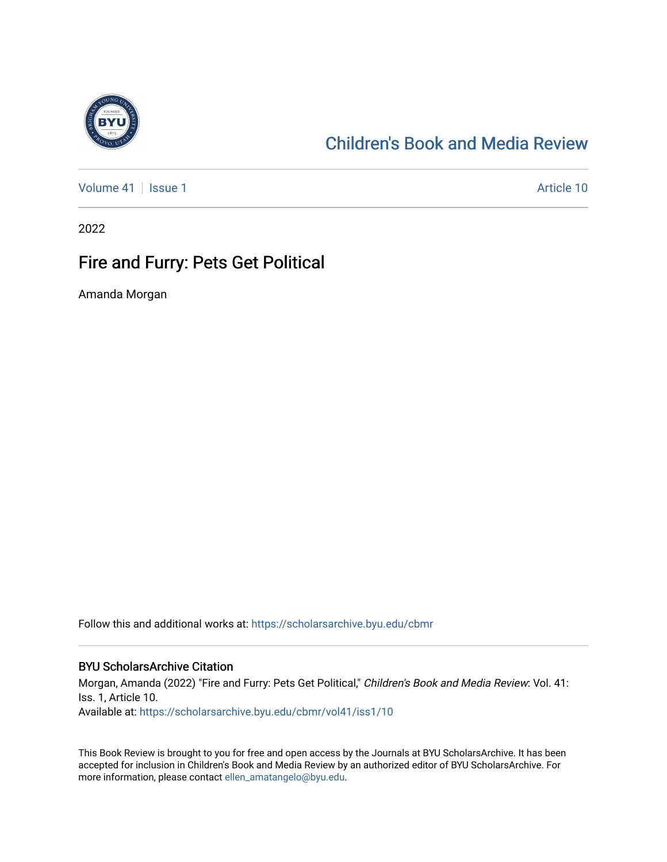

### [Children's Book and Media Review](https://scholarsarchive.byu.edu/cbmr)

[Volume 41](https://scholarsarchive.byu.edu/cbmr/vol41) | [Issue 1](https://scholarsarchive.byu.edu/cbmr/vol41/iss1) Article 10

2022

### Fire and Furry: Pets Get Political

Amanda Morgan

Follow this and additional works at: [https://scholarsarchive.byu.edu/cbmr](https://scholarsarchive.byu.edu/cbmr?utm_source=scholarsarchive.byu.edu%2Fcbmr%2Fvol41%2Fiss1%2F10&utm_medium=PDF&utm_campaign=PDFCoverPages) 

#### BYU ScholarsArchive Citation

Morgan, Amanda (2022) "Fire and Furry: Pets Get Political," Children's Book and Media Review: Vol. 41: Iss. 1, Article 10. Available at: [https://scholarsarchive.byu.edu/cbmr/vol41/iss1/10](https://scholarsarchive.byu.edu/cbmr/vol41/iss1/10?utm_source=scholarsarchive.byu.edu%2Fcbmr%2Fvol41%2Fiss1%2F10&utm_medium=PDF&utm_campaign=PDFCoverPages)

This Book Review is brought to you for free and open access by the Journals at BYU ScholarsArchive. It has been accepted for inclusion in Children's Book and Media Review by an authorized editor of BYU ScholarsArchive. For more information, please contact [ellen\\_amatangelo@byu.edu.](mailto:ellen_amatangelo@byu.edu)